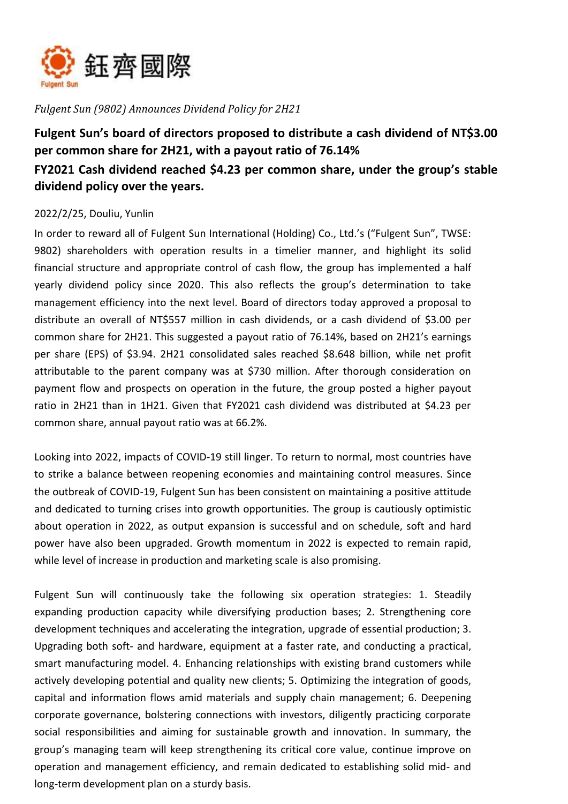

*Fulgent Sun (9802) Announces Dividend Policy for 2H21*

## **Fulgent Sun's board of directors proposed to distribute a cash dividend of NT\$3.00 per common share for 2H21, with a payout ratio of 76.14% FY2021 Cash dividend reached \$4.23 per common share, under the group's stable dividend policy over the years.**

## 2022/2/25, Douliu, Yunlin

In order to reward all of Fulgent Sun International (Holding) Co., Ltd.'s ("Fulgent Sun", TWSE: 9802) shareholders with operation results in a timelier manner, and highlight its solid financial structure and appropriate control of cash flow, the group has implemented a half yearly dividend policy since 2020. This also reflects the group's determination to take management efficiency into the next level. Board of directors today approved a proposal to distribute an overall of NT\$557 million in cash dividends, or a cash dividend of \$3.00 per common share for 2H21. This suggested a payout ratio of 76.14%, based on 2H21's earnings per share (EPS) of \$3.94. 2H21 consolidated sales reached \$8.648 billion, while net profit attributable to the parent company was at \$730 million. After thorough consideration on payment flow and prospects on operation in the future, the group posted a higher payout ratio in 2H21 than in 1H21. Given that FY2021 cash dividend was distributed at \$4.23 per common share, annual payout ratio was at 66.2%.

Looking into 2022, impacts of COVID-19 still linger. To return to normal, most countries have to strike a balance between reopening economies and maintaining control measures. Since the outbreak of COVID-19, Fulgent Sun has been consistent on maintaining a positive attitude and dedicated to turning crises into growth opportunities. The group is cautiously optimistic about operation in 2022, as output expansion is successful and on schedule, soft and hard power have also been upgraded. Growth momentum in 2022 is expected to remain rapid, while level of increase in production and marketing scale is also promising.

Fulgent Sun will continuously take the following six operation strategies: 1. Steadily expanding production capacity while diversifying production bases; 2. Strengthening core development techniques and accelerating the integration, upgrade of essential production; 3. Upgrading both soft- and hardware, equipment at a faster rate, and conducting a practical, smart manufacturing model. 4. Enhancing relationships with existing brand customers while actively developing potential and quality new clients; 5. Optimizing the integration of goods, capital and information flows amid materials and supply chain management; 6. Deepening corporate governance, bolstering connections with investors, diligently practicing corporate social responsibilities and aiming for sustainable growth and innovation. In summary, the group's managing team will keep strengthening its critical core value, continue improve on operation and management efficiency, and remain dedicated to establishing solid mid- and long-term development plan on a sturdy basis.